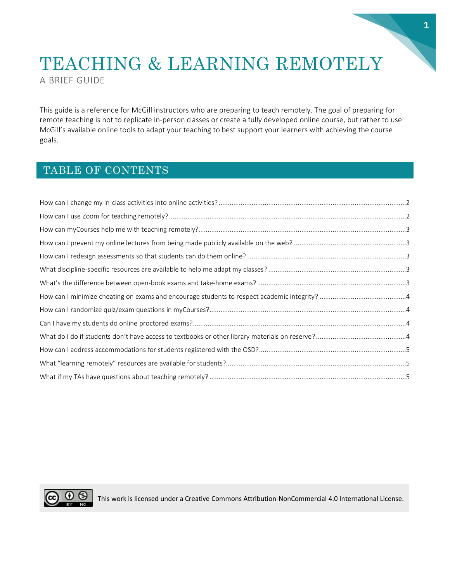# TEACHING & LEARNING REMOTELY A BRIEF GUIDE

This guide is a reference for McGill instructors who are preparing to teach remotely. The goal of preparing for remote teaching is not to replicate in-person classes or create a fully developed online course, but rather to use McGill's available online tools to adapt your teaching to best support your learners with achieving the course goals.

#### TABLE OF CONTENTS



CC  $\bigcirc$  This work is licensed under a Creative Commons Attribution-NonCommercial 4.0 International License.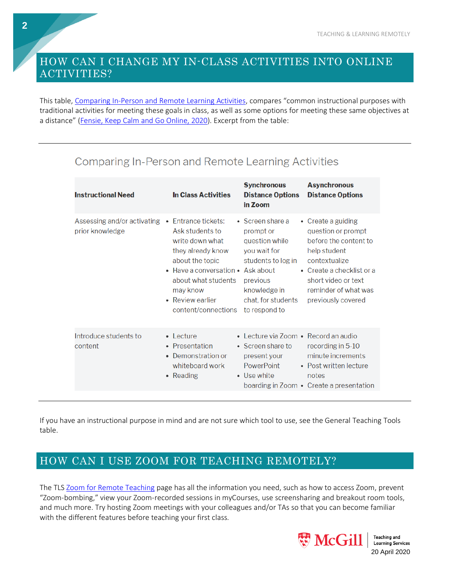#### <span id="page-1-0"></span>HOW CAN I CHANGE MY IN-CLASS ACTIVITIES INTO ONLINE ACTIVITIES?

This table, [Comparing](http://fensie.com/index.php/2020/03/11/keep-calm-and-go-online/) In-Person and Remote Learning Activities, compares "common instructional purposes with traditional activities for meeting these goals in class, as well as some options for meeting these same objectives at a distance" [\(Fensie,](http://fensie.com/index.php/2020/03/11/keep-calm-and-go-online/) Keep Calm and Go Online, 2020). Excerpt from the table:

| <b>Instructional Need</b>                                          | <b>In Class Activities</b>                                                                                                                                                                    | <b>Synchronous</b><br><b>Distance Options</b><br>in Zoom                                                                                                 | <b>Asynchronous</b><br><b>Distance Options</b>                                                                                                                                                               |
|--------------------------------------------------------------------|-----------------------------------------------------------------------------------------------------------------------------------------------------------------------------------------------|----------------------------------------------------------------------------------------------------------------------------------------------------------|--------------------------------------------------------------------------------------------------------------------------------------------------------------------------------------------------------------|
| Assessing and/or activating • Entrance tickets:<br>prior knowledge | Ask students to<br>write down what<br>they already know<br>about the topic<br>• Have a conversation • Ask about<br>about what students<br>may know<br>• Review earlier<br>content/connections | • Screen share a<br>prompt or<br>question while<br>you wait for<br>students to log in<br>previous<br>knowledge in<br>chat, for students<br>to respond to | • Create a guiding<br>question or prompt<br>before the content to<br>help student<br>contextualize<br>$\bullet$ Create a checklist or a<br>short video or text<br>reminder of what was<br>previously covered |
| Introduce students to<br>content                                   | $\bullet$ Lecture<br>• Presentation<br>• Demonstration or<br>whiteboard work<br>• Reading                                                                                                     | • Lecture via Zoom • Record an audio<br>• Screen share to<br>present your<br><b>PowerPoint</b><br>• Use white                                            | recording in 5-10<br>minute increments<br>• Post written lecture<br>notes<br>boarding in Zoom • Create a presentation                                                                                        |

## **Comparing In-Person and Remote Learning Activities**

If you have an instructional purpose in mind and are not sure which tool to use, see the General [Teaching](https://mcgill.ca/tls/instructors/class-disruption/tools/tool-table) Tools table.

#### <span id="page-1-1"></span>HOW CAN I USE ZOOM FOR TEACHING REMOTELY?

The TLS Zoom for Remote [Teaching](https://mcgill.ca/tls/instructors/class-disruption/tools/zoom) page has all the information you need, such as how to access Zoom, prevent "Zoom-bombing," view your Zoom-recorded sessions in myCourses, use screensharing and breakout room tools, and much more. Try hosting Zoom meetings with your colleagues and/or TAs so that you can become familiar with the different features before teaching your first class.



**Teaching and Learning Services** 

**2**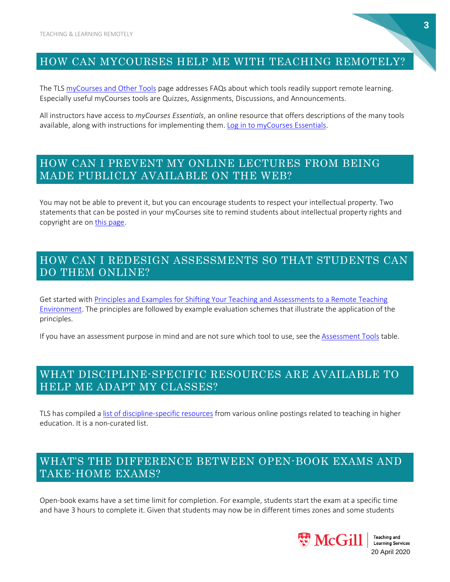#### <span id="page-2-0"></span>HOW CAN MYCOURSES HELP ME WITH TEACHING REMOTELY?

The TLS [myCourses](https://mcgill.ca/tls/instructors/class-disruption/tools/mycourses) and Other Tools page addresses FAQs about which tools readily support remote learning. Especially useful myCourses tools are Quizzes, Assignments, Discussions, and Announcements.

All instructors have access to *myCourses Essentials*, an online resource that offers descriptions of the many tools available, along with instructions for implementing them. Log in to [myCourses](https://www.mcgill.ca/mycourses/) Essentials.

#### <span id="page-2-1"></span>HOW CAN I PREVENT MY ONLINE LECTURES FROM BEING MADE PUBLICLY AVAILABLE ON THE WEB?

You may not be able to prevent it, but you can encourage students to respect your intellectual property. Two statements that can be posted in your myCourses site to remind students about intellectual property rights and copyright are on this [page.](https://mcgill.ca/tls/instructors/class-disruption/strategies/assessment#intellectual-property)

#### <span id="page-2-2"></span>HOW CAN I REDESIGN ASSESSMENTS SO THAT STUDENTS CAN DO THEM ONLINE?

Get started with Principles and Examples for Shifting Your Teaching and [Assessments](https://mcgill.ca/tls/instructors/class-disruption/strategies/assessment) to a Remote Teaching [Environment.](https://mcgill.ca/tls/instructors/class-disruption/strategies/assessment) The principles are followed by example evaluation schemes that illustrate the application of the principles.

If you have an assessment purpose in mind and are not sure which tool to use, see the [Assessment](https://mcgill.ca/tls/instructors/class-disruption/tools/tool-table) Tools table.

#### <span id="page-2-3"></span>WHAT DISCIPLINE-SPECIFIC RESOURCES ARE AVAILABLE TO HELP ME ADAPT MY CLASSES?

TLS has compiled a list of [discipline-specific](https://www.mcgill.ca/tls/instructors/class-disruption/discipline-specific-resources) resources from various online postings related to teaching in higher education. It is a non-curated list.

#### <span id="page-2-4"></span>WHAT'S THE DIFFERENCE BETWEEN OPEN-BOOK EXAMS AND TAKE-HOME EXAMS?

Open-book exams have a set time limit for completion. For example, students start the exam at a specific time and have 3 hours to complete it. Given that students may now be in different times zones and some students



20 April 2020

**Teaching and Learning Services**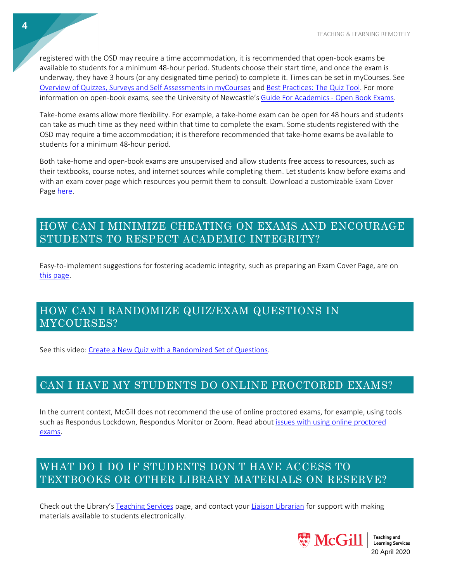registered with the OSD may require a time accommodation, it is recommended that open-book exams be available to students for a minimum 48-hour period. Students choose their start time, and once the exam is underway, they have 3 hours (or any designated time period) to complete it. Times can be set in myCourses. See Overview of Quizzes, Surveys and Self [Assessments](http://kb.mcgill.ca/it/easylink/article.html?id=4238) in myCourses and Best [Practices:](https://community.brightspace.com/s/article/Best-Practices-The-Quiz-Tool) The Quiz Tool. For more information on open-book exams, see the University of Newcastle's Guide For [Academics](https://www.newcastle.edu.au/__data/assets/pdf_file/0006/268980/Open-Book-Exams.pdf) - Open Book Exams.

Take-home exams allow more flexibility. For example, a take-home exam can be open for 48 hours and students can take as much time as they need within that time to complete the exam. Some students registered with the OSD may require a time accommodation; it is therefore recommended that take-home exams be available to students for a minimum 48-hour period.

Both take-home and open-book exams are unsupervised and allow students free access to resources, such as their textbooks, course notes, and internet sources while completing them. Let students know before exams and with an exam cover page which resources you permit them to consult. Download a customizable Exam Cover Page [here.](https://mcgill.ca/tls/instructors/class-disruption/strategies/assessment#academic-integrity)

#### <span id="page-3-0"></span>HOW CAN I MINIMIZE CHEATING ON EXAMS AND ENCOURAGE STUDENTS TO RESPECT ACADEMIC INTEGRITY?

Easy-to-implement suggestions for fostering academic integrity, such as preparing an Exam Cover Page, are on this [page.](https://mcgill.ca/tls/instructors/class-disruption/strategies/assessment#academic-integrity)

#### <span id="page-3-1"></span>HOW CAN I RANDOMIZE QUIZ/EXAM QUESTIONS IN MYCOURSES?

See this video: Create a New Quiz with a [Randomized](https://youtu.be/7J2mO9QF6Z4) Set of Questions.

#### <span id="page-3-2"></span>CAN I HAVE MY STUDENTS DO ONLINE PROCTORED EXAMS?

In the current context, McGill does not recommend the use of online proctored exams, for example, using tools such as Respondus Lockdown, Respondus Monitor or Zoom. Read about issues with using online [proctored](https://mcgill.ca/tls/instructors/class-disruption/strategies/assessment#issues-proctored) [exams.](https://mcgill.ca/tls/instructors/class-disruption/strategies/assessment#issues-proctored)

#### <span id="page-3-3"></span>WHAT DO I DO IF STUDENTS DON T HAVE ACCESS TO TEXTBOOKS OR OTHER LIBRARY MATERIALS ON RESERVE?

Check out the Library's [Teaching](https://www.mcgill.ca/library/services/teaching) Services page, and contact your Liaison [Librarian](https://www.mcgill.ca/library/contact/askus/liaison) for support with making materials available to students electronically.